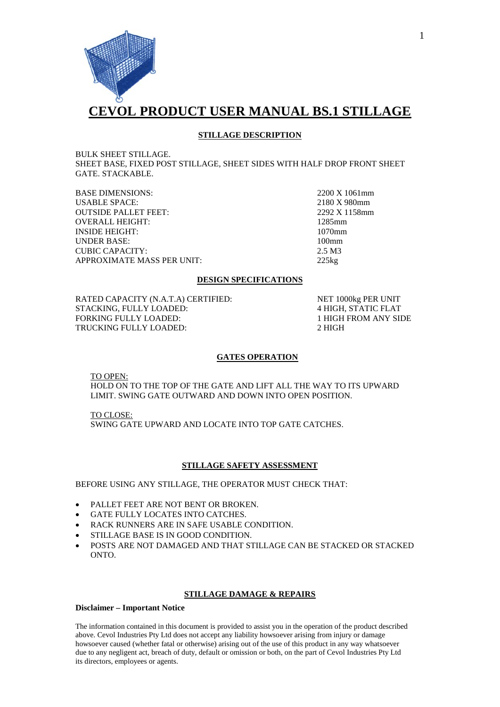

## **STILLAGE DESCRIPTION**

BULK SHEET STILLAGE. SHEET BASE, FIXED POST STILLAGE, SHEET SIDES WITH HALF DROP FRONT SHEET GATE. STACKABLE.

BASE DIMENSIONS: 2200 X 1061mm<br>USABLE SPACE: 2180 X 980mm USABLE SPACE: 2180 X 980mm<br>
OUTSIDE PALLET FEET: 2292 X 1158mm **OUTSIDE PALLET FEET:** OVERALL HEIGHT: 1285mm INSIDE HEIGHT: 1070mm UNDER BASE: 100mm CUBIC CAPACITY: 2.5 M3 APPROXIMATE MASS PER UNIT: 225kg

## **DESIGN SPECIFICATIONS**

RATED CAPACITY (N.A.T.A) CERTIFIED: NET 1000kg PER UNIT STACKING, FULLY LOADED: 4 HIGH, STATIC FLAT FORKING FULLY LOADED: 1 HIGH FROM ANY SIDE TRUCKING FULLY LOADED: 2 HIGH

## **GATES OPERATION**

TO OPEN:

HOLD ON TO THE TOP OF THE GATE AND LIFT ALL THE WAY TO ITS UPWARD LIMIT. SWING GATE OUTWARD AND DOWN INTO OPEN POSITION.

SWING GATE UPWARD AND LOCATE INTO TOP GATE CATCHES. TO CLOSE:

## **STILLAGE SAFETY ASSESSMENT**

BEFORE USING ANY STILLAGE, THE OPERATOR MUST CHECK THAT:

- PALLET FEET ARE NOT BENT OR BROKEN.
- GATE FULLY LOCATES INTO CATCHES.
- RACK RUNNERS ARE IN SAFE USABLE CONDITION.
- STILLAGE BASE IS IN GOOD CONDITION.
- POSTS ARE NOT DAMAGED AND THAT STILLAGE CAN BE STACKED OR STACKED ONTO.

#### **STILLAGE DAMAGE & REPAIRS**

#### **Disclaimer – Important Notice**

The information contained in this document is provided to assist you in the operation of the product described above. Cevol Industries Pty Ltd does not accept any liability howsoever arising from injury or damage howsoever caused (whether fatal or otherwise) arising out of the use of this product in any way whatsoever due to any negligent act, breach of duty, default or omission or both, on the part of Cevol Industries Pty Ltd its directors, employees or agents.